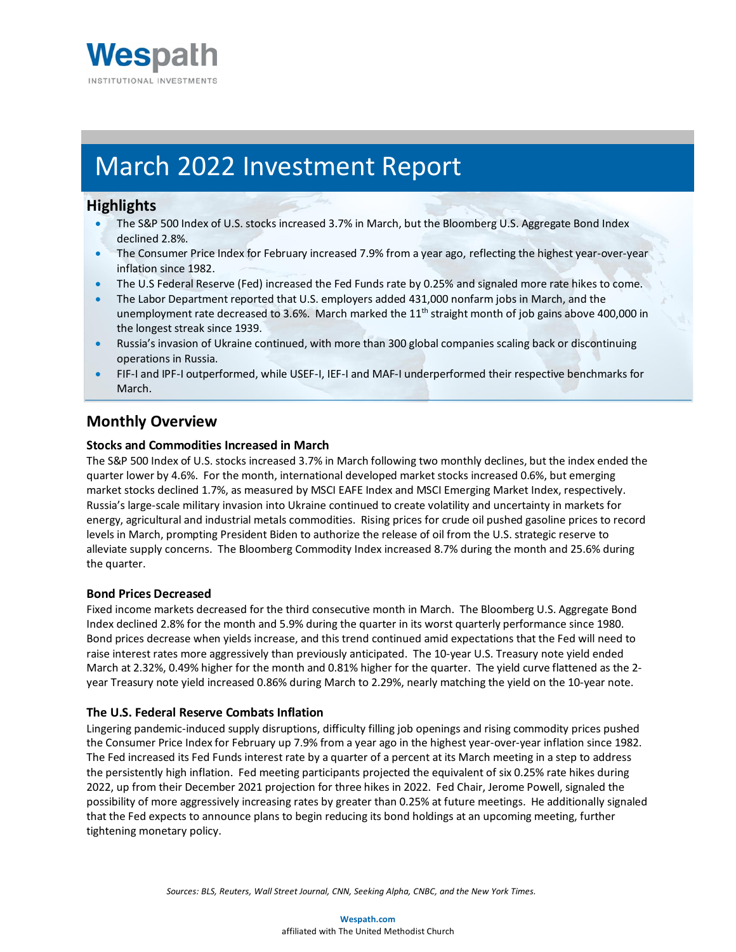

# March 2022 Investment Report

### **Highlights**

- The S&P 500 Index of U.S. stocks increased 3.7% in March, but the Bloomberg U.S. Aggregate Bond Index declined 2.8%.
- The Consumer Price Index for February increased 7.9% from a year ago, reflecting the highest year-over-year inflation since 1982.
- The U.S Federal Reserve (Fed) increased the Fed Funds rate by 0.25% and signaled more rate hikes to come.
- The Labor Department reported that U.S. employers added 431,000 nonfarm jobs in March, and the unemployment rate decreased to 3.6%. March marked the  $11<sup>th</sup>$  straight month of job gains above 400,000 in the longest streak since 1939.
- Russia's invasion of Ukraine continued, with more than 300 global companies scaling back or discontinuing operations in Russia.
- FIF-I and IPF-I outperformed, while USEF-I, IEF-I and MAF-I underperformed their respective benchmarks for March.

# **Monthly Overview**

#### **Stocks and Commodities Increased in March**

The S&P 500 Index of U.S. stocks increased 3.7% in March following two monthly declines, but the index ended the quarter lower by 4.6%. For the month, international developed market stocks increased 0.6%, but emerging market stocks declined 1.7%, as measured by MSCI EAFE Index and MSCI Emerging Market Index, respectively. Russia's large-scale military invasion into Ukraine continued to create volatility and uncertainty in markets for energy, agricultural and industrial metals commodities. Rising prices for crude oil pushed gasoline prices to record levels in March, prompting President Biden to authorize the release of oil from the U.S. strategic reserve to alleviate supply concerns. The Bloomberg Commodity Index increased 8.7% during the month and 25.6% during the quarter.

#### **Bond Prices Decreased**

Fixed income markets decreased for the third consecutive month in March. The Bloomberg U.S. Aggregate Bond Index declined 2.8% for the month and 5.9% during the quarter in its worst quarterly performance since 1980. Bond prices decrease when yields increase, and this trend continued amid expectations that the Fed will need to raise interest rates more aggressively than previously anticipated. The 10-year U.S. Treasury note yield ended March at 2.32%, 0.49% higher for the month and 0.81% higher for the quarter. The yield curve flattened as the 2 year Treasury note yield increased 0.86% during March to 2.29%, nearly matching the yield on the 10-year note.

#### **The U.S. Federal Reserve Combats Inflation**

Lingering pandemic-induced supply disruptions, difficulty filling job openings and rising commodity prices pushed the Consumer Price Index for February up 7.9% from a year ago in the highest year-over-year inflation since 1982. The Fed increased its Fed Funds interest rate by a quarter of a percent at its March meeting in a step to address the persistently high inflation. Fed meeting participants projected the equivalent of six 0.25% rate hikes during 2022, up from their December 2021 projection for three hikes in 2022. Fed Chair, Jerome Powell, signaled the possibility of more aggressively increasing rates by greater than 0.25% at future meetings. He additionally signaled that the Fed expects to announce plans to begin reducing its bond holdings at an upcoming meeting, further tightening monetary policy.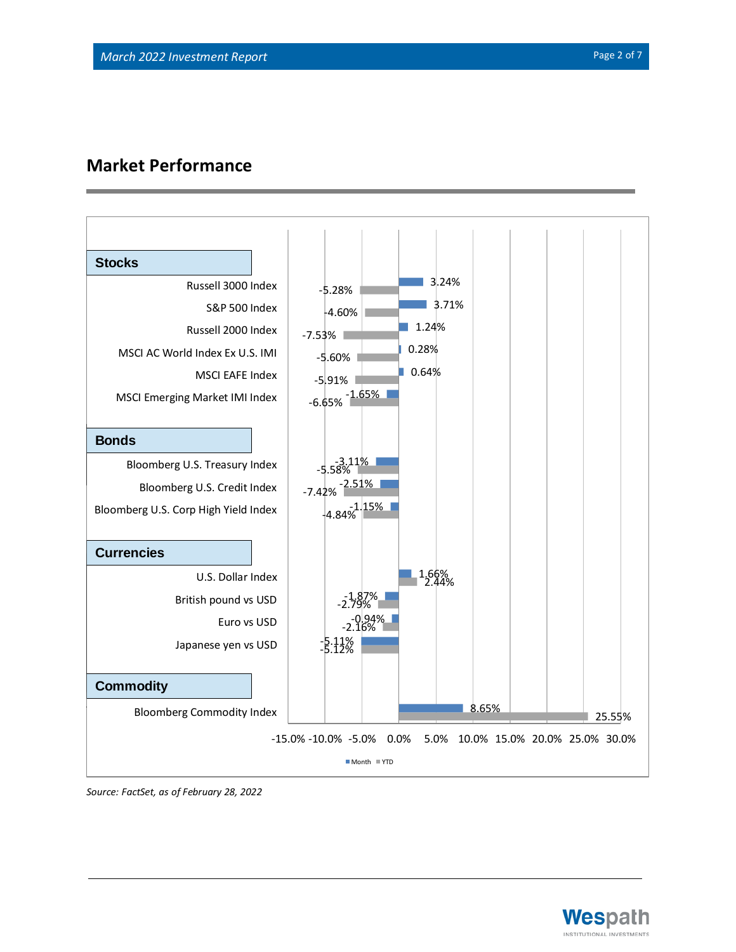# **Market Performance**



*Source: FactSet, as of February 28, 2022*



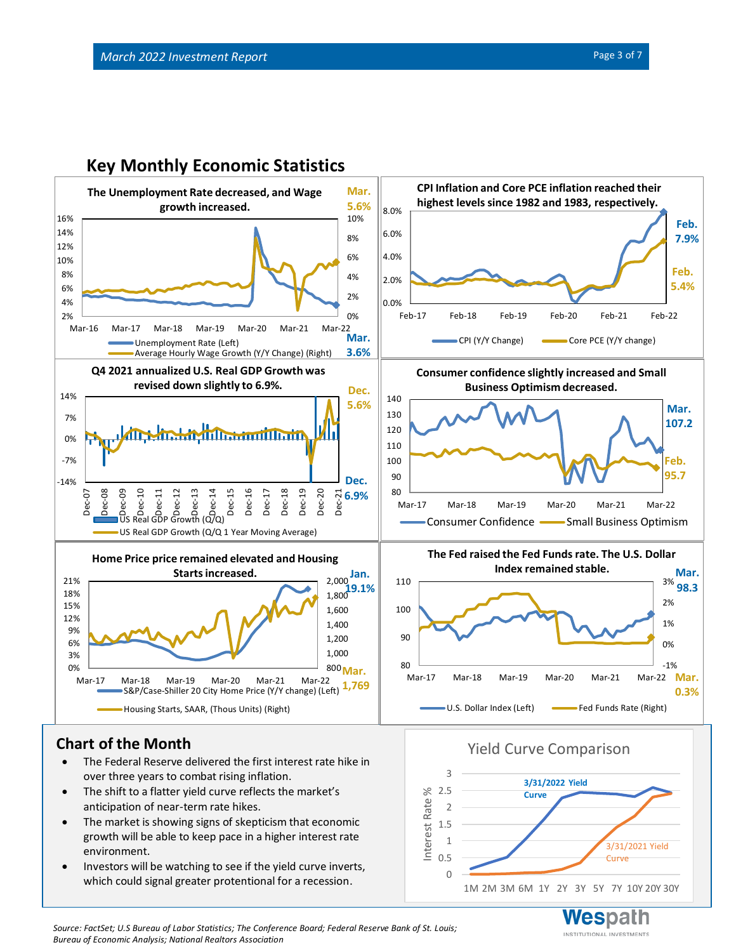

0 0.5 1 1.5 2 2.5 3

Interest Rate %

# **Key Monthly Economic Statistics**

# **Chart of the Month**

- The Federal Reserve delivered the first interest rate hike in over three years to combat rising inflation.
- The shift to a flatter yield curve reflects the market's anticipation of near-term rate hikes.
- The market is showing signs of skepticism that economic growth will be able to keep pace in a higher interest rate environment.
- Investors will be watching to see if the yield curve inverts, which could signal greater protentional for a recession.

INSTITUTIONAL INVESTMENTS

3/31/2021 Yield **Curve** 

1M 2M 3M 6M 1Y 2Y 3Y 5Y 7Y 10Y 20Y 30Y

Yield Curve Comparison

**Curve**

**3/31/2022 Yield** 

*Source: FactSet; U.S Bureau of Labor Statistics; The Conference Board; Federal Reserve Bank of St. Louis; Bureau of Economic Analysis; National Realtors Association*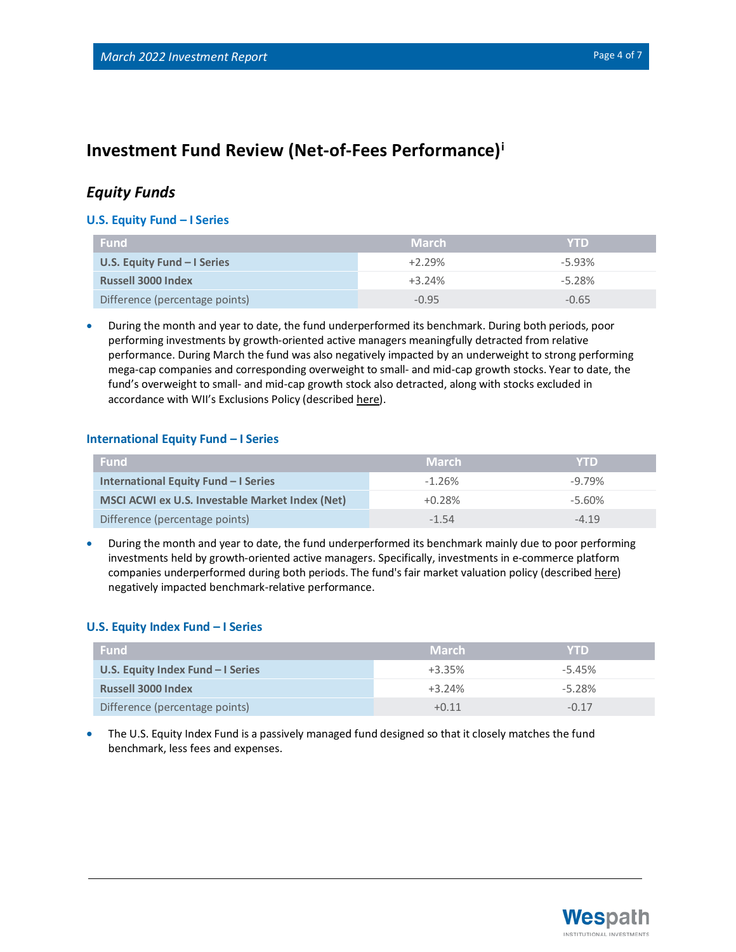# **Investment Fund Review (Net-of-Fees Performance)<sup>i</sup>**

### *Equity Funds*

#### **U.S. Equity Fund – I Series**

| <b>Fund</b>                    | <b>March</b> | <b>YTD</b> |
|--------------------------------|--------------|------------|
| U.S. Equity Fund $-$ I Series  | $+2.29%$     | $-5.93%$   |
| <b>Russell 3000 Index</b>      | $+3.24%$     | $-5.28%$   |
| Difference (percentage points) | $-0.95$      | $-0.65$    |

• During the month and year to date, the fund underperformed its benchmark. During both periods, poor performing investments by growth-oriented active managers meaningfully detracted from relative performance. During March the fund was also negatively impacted by an underweight to strong performing mega-cap companies and corresponding overweight to small- and mid-cap growth stocks. Year to date, the fund's overweight to small- and mid-cap growth stock also detracted, along with stocks excluded in accordance with WII's Exclusions Policy (described [here\)](https://www.wespath.com/sustainable-investment/investment-exclusions).

#### **International Equity Fund – I Series**

| <b>Fund</b>                                            | <b>March</b> | <b>YTD</b> |
|--------------------------------------------------------|--------------|------------|
| International Equity Fund - I Series                   | $-1.26%$     | $-9.79%$   |
| <b>MSCI ACWI ex U.S. Investable Market Index (Net)</b> | $+0.28%$     | $-5.60\%$  |
| Difference (percentage points)                         | $-1.54$      | $-419$     |

• During the month and year to date, the fund underperformed its benchmark mainly due to poor performing investments held by growth-oriented active managers. Specifically, investments in e-commerce platform companies underperformed during both periods. The fund's fair market valuation policy (described [here\)](https://www.wespath.com/fund-performance/ief-i#fund-detail-tabs-risk) negatively impacted benchmark-relative performance.

#### **U.S. Equity Index Fund – I Series**

| <b>Fund</b>                        | <b>March</b> | <b>YTD</b> |
|------------------------------------|--------------|------------|
| U.S. Equity Index Fund $-1$ Series | $+3.35%$     | $-5.45%$   |
| <b>Russell 3000 Index</b>          | $+3.24%$     | $-5.28%$   |
| Difference (percentage points)     | +0 11        | $-0.17$    |

• The U.S. Equity Index Fund is a passively managed fund designed so that it closely matches the fund benchmark, less fees and expenses.

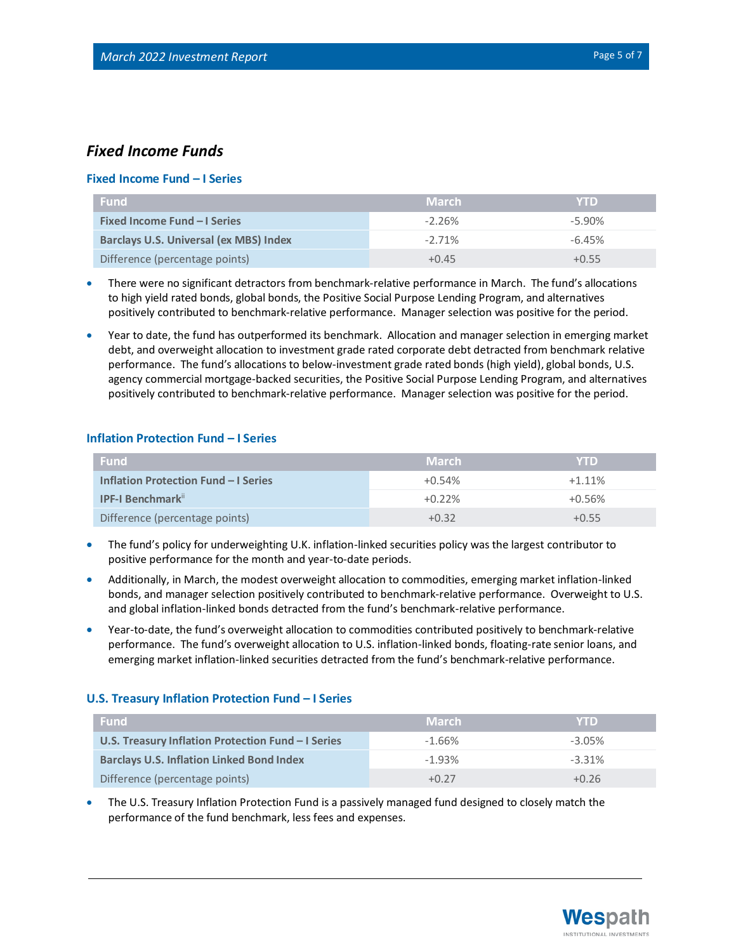### *Fixed Income Funds*

#### **Fixed Income Fund – I Series**

| <b>Fund</b>                                   | <b>March</b> | <b>YTD</b> |
|-----------------------------------------------|--------------|------------|
| <b>Fixed Income Fund - I Series</b>           | $-2.26%$     | $-5.90\%$  |
| <b>Barclays U.S. Universal (ex MBS) Index</b> | $-2.71\%$    | $-6.45%$   |
| Difference (percentage points)                | $+0.45$      | $+0.55$    |

- There were no significant detractors from benchmark-relative performance in March. The fund's allocations to high yield rated bonds, global bonds, the Positive Social Purpose Lending Program, and alternatives positively contributed to benchmark-relative performance. Manager selection was positive for the period.
- Year to date, the fund has outperformed its benchmark. Allocation and manager selection in emerging market debt, and overweight allocation to investment grade rated corporate debt detracted from benchmark relative performance. The fund's allocations to below-investment grade rated bonds (high yield), global bonds, U.S. agency commercial mortgage-backed securities, the Positive Social Purpose Lending Program, and alternatives positively contributed to benchmark-relative performance. Manager selection was positive for the period.

#### **Inflation Protection Fund – I Series**

| <b>Fund</b>                                 | <b>March</b> | <b>YTD</b> |
|---------------------------------------------|--------------|------------|
| <b>Inflation Protection Fund - I Series</b> | $+0.54%$     | $+1.11%$   |
| <b>IPF-I Benchmark</b> "                    | $+0.22\%$    | $+0.56%$   |
| Difference (percentage points)              | $+0.32$      | $+0.55$    |

- The fund's policy for underweighting U.K. inflation-linked securities policy was the largest contributor to positive performance for the month and year-to-date periods.
- Additionally, in March, the modest overweight allocation to commodities, emerging market inflation-linked bonds, and manager selection positively contributed to benchmark-relative performance. Overweight to U.S. and global inflation-linked bonds detracted from the fund's benchmark-relative performance.
- Year-to-date, the fund's overweight allocation to commodities contributed positively to benchmark-relative performance. The fund's overweight allocation to U.S. inflation-linked bonds, floating-rate senior loans, and emerging market inflation-linked securities detracted from the fund's benchmark-relative performance.

#### **U.S. Treasury Inflation Protection Fund – I Series**

| <b>Fund</b>                                        | <b>March</b> | <b>YTD</b> |
|----------------------------------------------------|--------------|------------|
| U.S. Treasury Inflation Protection Fund - I Series | $-1.66%$     | $-3.05\%$  |
| <b>Barclays U.S. Inflation Linked Bond Index</b>   | $-1.93%$     | $-3.31%$   |
| Difference (percentage points)                     | $+0.27$      | $+0.26$    |

• The U.S. Treasury Inflation Protection Fund is a passively managed fund designed to closely match the performance of the fund benchmark, less fees and expenses.

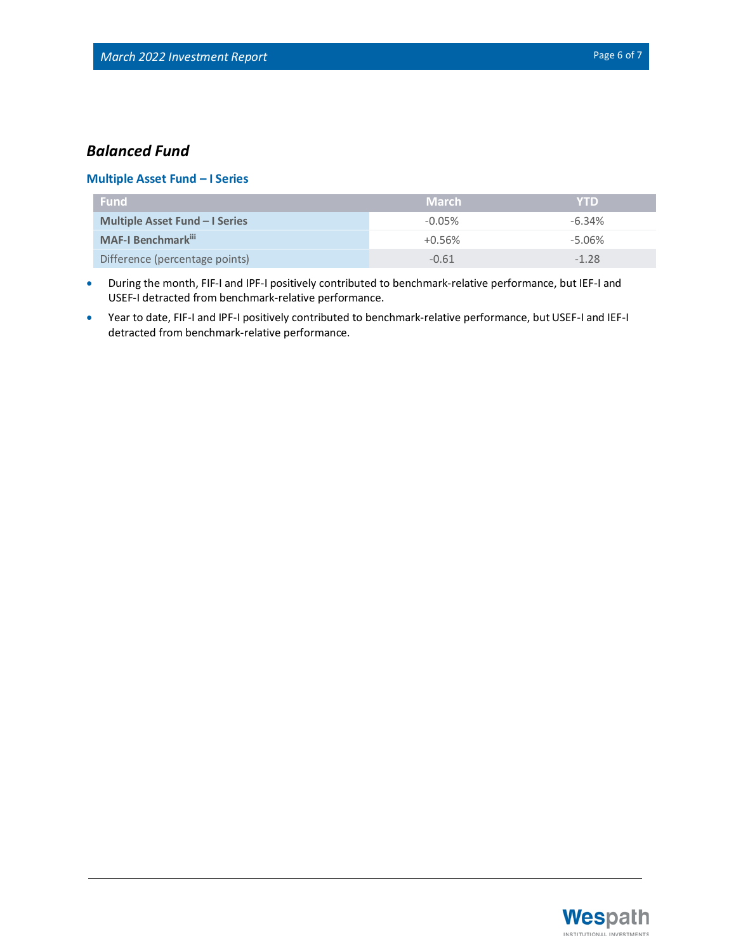## *Balanced Fund*

#### **Multiple Asset Fund – I Series**

| <b>Fund</b>                           | ' March   | <b>YTD</b> |
|---------------------------------------|-----------|------------|
| <b>Multiple Asset Fund – I Series</b> | $-0.05\%$ | $-6.34%$   |
| <b>MAF-I Benchmark</b> ii             | $+0.56\%$ | $-5.06\%$  |
| Difference (percentage points)        | $-0.61$   | $-1.28$    |

- During the month, FIF-I and IPF-I positively contributed to benchmark-relative performance, but IEF-I and USEF-I detracted from benchmark-relative performance.
- Year to date, FIF-I and IPF-I positively contributed to benchmark-relative performance, but USEF-I and IEF-I detracted from benchmark-relative performance.